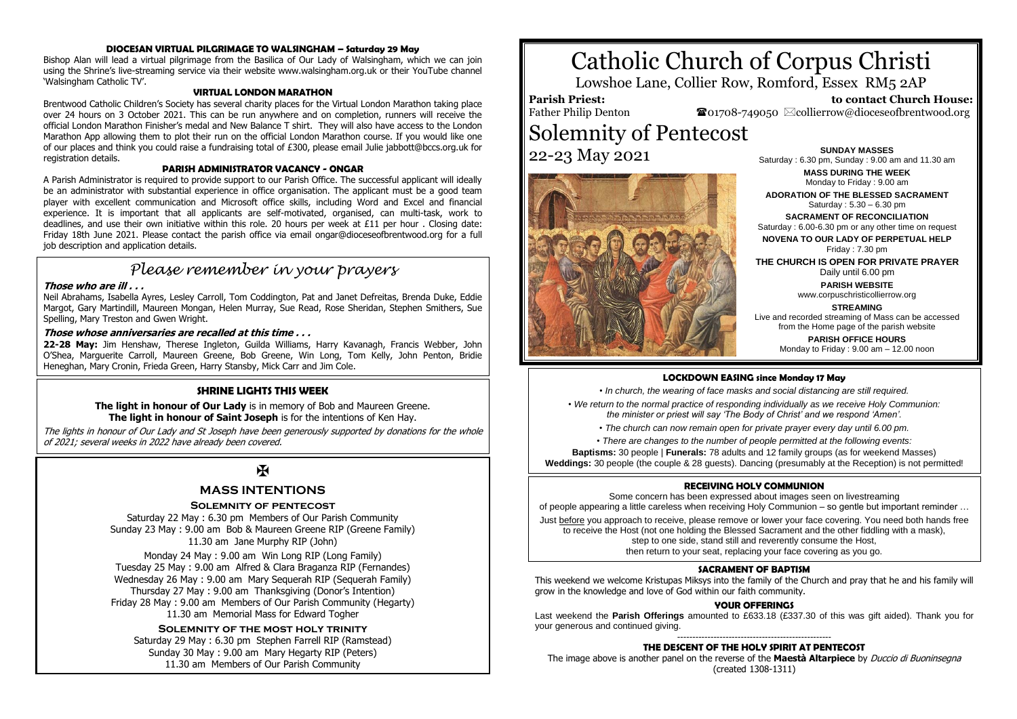# **DIOCESAN VIRTUAL PILGRIMAGE TO WALSINGHAM – Saturday 29 May**

Bishop Alan will lead a virtual pilgrimage from the Basilica of Our Lady of Walsingham, which we can join using the Shrine's live-streaming service via their website www.walsingham.org.uk or their YouTube channel 'Walsingham Catholic TV'.

#### **VIRTUAL LONDON MARATHON**

Brentwood Catholic Children's Society has several charity places for the Virtual London Marathon taking place over 24 hours on 3 October 2021. This can be run anywhere and on completion, runners will receive the official London Marathon Finisher's medal and New Balance T shirt. They will also have access to the London Marathon App allowing them to plot their run on the official London Marathon course. If you would like one of our places and think you could raise a fundraising total of £300, please email Julie jabbott@bccs.org.uk for registration details.

#### **PARISH ADMINISTRATOR VACANCY - ONGAR**

A Parish Administrator is required to provide support to our Parish Office. The successful applicant will ideally be an administrator with substantial experience in office organisation. The applicant must be a good team player with excellent communication and Microsoft office skills, including Word and Excel and financial experience. It is important that all applicants are self-motivated, organised, can multi-task, work to deadlines, and use their own initiative within this role. 20 hours per week at £11 per hour . Closing date: Friday 18th June 2021. Please contact the parish office via email ongar@dioceseofbrentwood.org for a full job description and application details.

# *Please remember in your prayers*

# **Those who are ill . . .**

Neil Abrahams, Isabella Ayres, Lesley Carroll, Tom Coddington, Pat and Janet Defreitas, Brenda Duke, Eddie Margot, Gary Martindill, Maureen Mongan, Helen Murray, Sue Read, Rose Sheridan, Stephen Smithers, Sue Spelling, Mary Treston and Gwen Wright.

## **Those whose anniversaries are recalled at this time . . .**

**22-28 May:** Jim Henshaw, Therese Ingleton, Guilda Williams, Harry Kavanagh, Francis Webber, John O'Shea, Marguerite Carroll, Maureen Greene, Bob Greene, Win Long, Tom Kelly, John Penton, Bridie Heneghan, Mary Cronin, Frieda Green, Harry Stansby, Mick Carr and Jim Cole.

## **SHRINE LIGHTS THIS WEEK**

**The light in honour of Our Lady** is in memory of Bob and Maureen Greene. **The light in honour of Saint Joseph** is for the intentions of Ken Hay.

The lights in honour of Our Lady and St Joseph have been generously supported by donations for the whole of 2021; several weeks in 2022 have already been covered.

# $\mathbf F$

# **MASS INTENTIONS**

#### **Solemnity of pentecost**

Saturday 22 May : 6.30 pm Members of Our Parish Community Sunday 23 May : 9.00 am Bob & Maureen Greene RIP (Greene Family) 11.30 am Jane Murphy RIP (John)

Monday 24 May : 9.00 am Win Long RIP (Long Family) Tuesday 25 May : 9.00 am Alfred & Clara Braganza RIP (Fernandes) Wednesday 26 May : 9.00 am Mary Sequerah RIP (Sequerah Family) Thursday 27 May : 9.00 am Thanksgiving (Donor's Intention) Friday 28 May : 9.00 am Members of Our Parish Community (Hegarty) 11.30 am Memorial Mass for Edward Togher

**Solemnity of the most holy trinity** Saturday 29 May : 6.30 pm Stephen Farrell RIP (Ramstead) Sunday 30 May : 9.00 am Mary Hegarty RIP (Peters) 11.30 am Members of Our Parish Community

# Catholic Church of Corpus Christi

Lowshoe Lane, Collier Row, Romford, Essex RM5 2AP

#### **Parish Priest:** Father Philip Denton

 **to contact Church House:**  $\bullet$ 01708-749050  $\boxtimes$ collierrow@dioceseofbrentwood.org

# Solemnity of Pentecost **22-23 May 2021 SUNDAY MASSES**



Saturday : 6.30 pm, Sunday : 9.00 am and 11.30 am

**MASS DURING THE WEEK** Monday to Friday : 9.00 am

**ADORATION OF THE BLESSED SACRAMENT** Saturday : 5.30 – 6.30 pm

**SACRAMENT OF RECONCILIATION** Saturday : 6.00-6.30 pm or any other time on request **NOVENA TO OUR LADY OF PERPETUAL HELP**

Friday : 7.30 pm **THE CHURCH IS OPEN FOR PRIVATE PRAYER**

Daily until 6.00 pm

**PARISH WEBSITE** www.corpuschristicollierrow.org

**STREAMING**

Live and recorded streaming of Mass can be accessed from the Home page of the parish website

**PARISH OFFICE HOURS** Monday to Friday : 9.00 am – 12.00 noon

#### **LOCKDOWN EASING since Monday 17 May**

*• In church, the wearing of face masks and social distancing are still required.*

*• We return to the normal practice of responding individually as we receive Holy Communion: the minister or priest will say 'The Body of Christ' and we respond 'Amen'.*

- *The church can now remain open for private prayer every day until 6.00 pm.*
- *There are changes to the number of people permitted at the following events:*

**Baptisms:** 30 people | **Funerals:** 78 adults and 12 family groups (as for weekend Masses) **Weddings:** 30 people (the couple & 28 guests). Dancing (presumably at the Reception) is not permitted!

#### **RECEIVING HOLY COMMUNION**

Some concern has been expressed about images seen on livestreaming of people appearing a little careless when receiving Holy Communion – so gentle but important reminder … Just before you approach to receive, please remove or lower your face covering. You need both hands free to receive the Host (not one holding the Blessed Sacrament and the other fiddling with a mask), step to one side, stand still and reverently consume the Host,

then return to your seat, replacing your face covering as you go.

#### **SACRAMENT OF BAPTISM**

This weekend we welcome Kristupas Miksys into the family of the Church and pray that he and his family will grow in the knowledge and love of God within our faith community.

# **YOUR OFFERINGS**

Last weekend the **Parish Offerings** amounted to £633.18 (£337.30 of this was gift aided). Thank you for your generous and continued giving.

#### --------------------------------------------------- **THE DESCENT OF THE HOLY SPIRIT AT PENTECOST**

The image above is another panel on the reverse of the **Maestà Altarpiece** by Duccio di Buoninsegna (created 1308-1311)